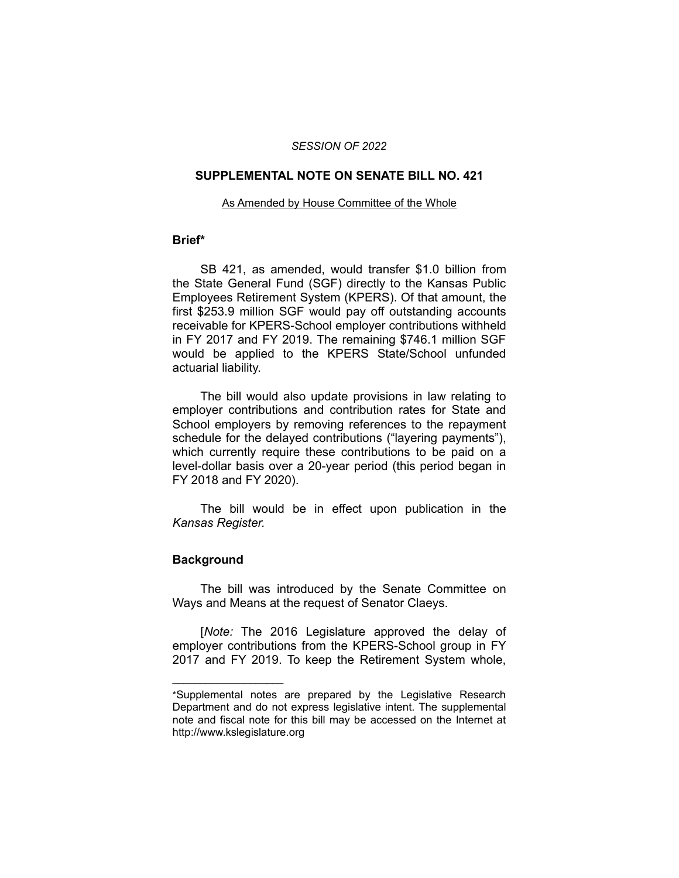### *SESSION OF 2022*

#### **SUPPLEMENTAL NOTE ON SENATE BILL NO. 421**

#### As Amended by House Committee of the Whole

## **Brief\***

SB 421, as amended, would transfer \$1.0 billion from the State General Fund (SGF) directly to the Kansas Public Employees Retirement System (KPERS). Of that amount, the first \$253.9 million SGF would pay off outstanding accounts receivable for KPERS-School employer contributions withheld in FY 2017 and FY 2019. The remaining \$746.1 million SGF would be applied to the KPERS State/School unfunded actuarial liability.

The bill would also update provisions in law relating to employer contributions and contribution rates for State and School employers by removing references to the repayment schedule for the delayed contributions ("layering payments"), which currently require these contributions to be paid on a level-dollar basis over a 20-year period (this period began in FY 2018 and FY 2020).

The bill would be in effect upon publication in the *Kansas Register.*

# **Background**

 $\overline{\phantom{a}}$  , where  $\overline{\phantom{a}}$  , where  $\overline{\phantom{a}}$ 

The bill was introduced by the Senate Committee on Ways and Means at the request of Senator Claeys.

[*Note:* The 2016 Legislature approved the delay of employer contributions from the KPERS-School group in FY 2017 and FY 2019. To keep the Retirement System whole,

<sup>\*</sup>Supplemental notes are prepared by the Legislative Research Department and do not express legislative intent. The supplemental note and fiscal note for this bill may be accessed on the Internet at http://www.kslegislature.org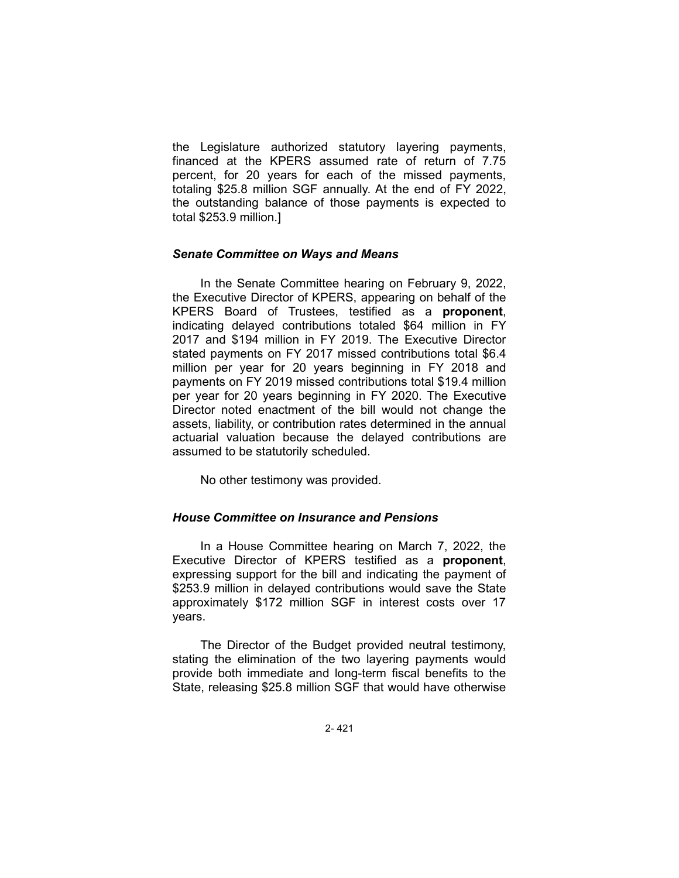the Legislature authorized statutory layering payments, financed at the KPERS assumed rate of return of 7.75 percent, for 20 years for each of the missed payments, totaling \$25.8 million SGF annually. At the end of FY 2022, the outstanding balance of those payments is expected to total \$253.9 million.]

## *Senate Committee on Ways and Means*

In the Senate Committee hearing on February 9, 2022, the Executive Director of KPERS, appearing on behalf of the KPERS Board of Trustees, testified as a **proponent**, indicating delayed contributions totaled \$64 million in FY 2017 and \$194 million in FY 2019. The Executive Director stated payments on FY 2017 missed contributions total \$6.4 million per year for 20 years beginning in FY 2018 and payments on FY 2019 missed contributions total \$19.4 million per year for 20 years beginning in FY 2020. The Executive Director noted enactment of the bill would not change the assets, liability, or contribution rates determined in the annual actuarial valuation because the delayed contributions are assumed to be statutorily scheduled.

No other testimony was provided.

### *House Committee on Insurance and Pensions*

In a House Committee hearing on March 7, 2022, the Executive Director of KPERS testified as a **proponent**, expressing support for the bill and indicating the payment of \$253.9 million in delayed contributions would save the State approximately \$172 million SGF in interest costs over 17 years.

The Director of the Budget provided neutral testimony, stating the elimination of the two layering payments would provide both immediate and long-term fiscal benefits to the State, releasing \$25.8 million SGF that would have otherwise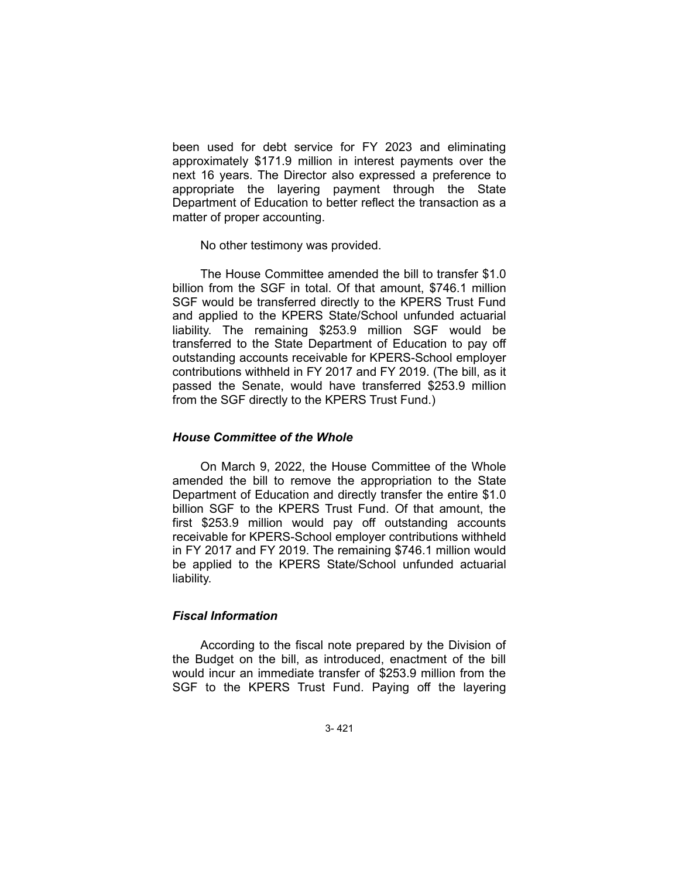been used for debt service for FY 2023 and eliminating approximately \$171.9 million in interest payments over the next 16 years. The Director also expressed a preference to appropriate the layering payment through the State Department of Education to better reflect the transaction as a matter of proper accounting.

No other testimony was provided.

The House Committee amended the bill to transfer \$1.0 billion from the SGF in total. Of that amount, \$746.1 million SGF would be transferred directly to the KPERS Trust Fund and applied to the KPERS State/School unfunded actuarial liability. The remaining \$253.9 million SGF would be transferred to the State Department of Education to pay off outstanding accounts receivable for KPERS-School employer contributions withheld in FY 2017 and FY 2019. (The bill, as it passed the Senate, would have transferred \$253.9 million from the SGF directly to the KPERS Trust Fund.)

# *House Committee of the Whole*

On March 9, 2022, the House Committee of the Whole amended the bill to remove the appropriation to the State Department of Education and directly transfer the entire \$1.0 billion SGF to the KPERS Trust Fund. Of that amount, the first \$253.9 million would pay off outstanding accounts receivable for KPERS-School employer contributions withheld in FY 2017 and FY 2019. The remaining \$746.1 million would be applied to the KPERS State/School unfunded actuarial liability.

# *Fiscal Information*

According to the fiscal note prepared by the Division of the Budget on the bill, as introduced, enactment of the bill would incur an immediate transfer of \$253.9 million from the SGF to the KPERS Trust Fund. Paying off the layering